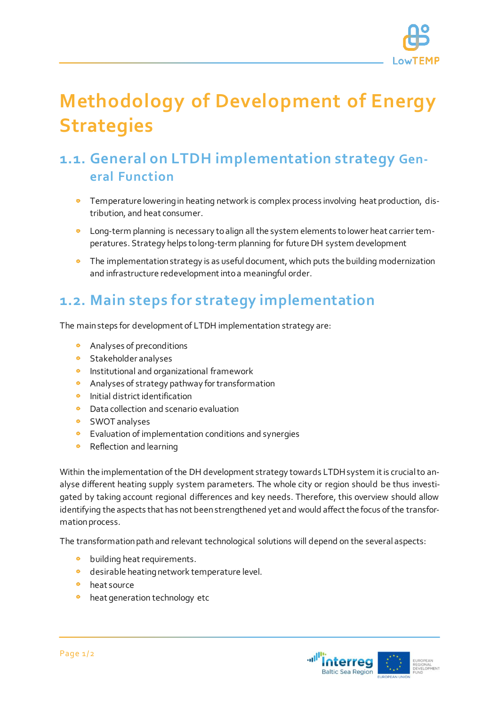

# **Methodology of Development of Energy Strategies**

## **1.1. General on LTDH implementation strategy General Function**

- **•** Temperature lowering in heating network is complex process involving heat production, distribution, and heat consumer.
- Long-term planning is necessary to align all the system elements to lower heat carrier temperatures. Strategy helps to long-term planning for future DH system development
- The implementation strategy is as useful document, which puts the building modernization and infrastructure redevelopment into a meaningful order.

## **1.2. Main steps for strategy implementation**

The main steps for development of LTDH implementation strategy are:

- $\bullet$ Analyses of preconditions
- **•** Stakeholder analyses
- **•** Institutional and organizational framework
- $\bullet$ Analyses of strategy pathway for transformation
- Initial district identification
- Data collection and scenario evaluation
- SWOT analyses
- **•** Evaluation of implementation conditions and synergies
- $\bullet$ Reflection and learning

Within the implementation of the DH development strategy towards LTDH system it is crucial to analyse different heating supply system parameters. The whole city or region should be thus investigated by taking account regional differences and key needs. Therefore, this overview should allow identifying the aspects that has not been strengthened yet and would affect the focus of the transformation process.

The transformation path and relevant technological solutions will depend on the several aspects:

- $\bullet$ building heat requirements.
- **o** desirable heating network temperature level.
- **•** heat source
- $\bullet$ heat generation technology etc